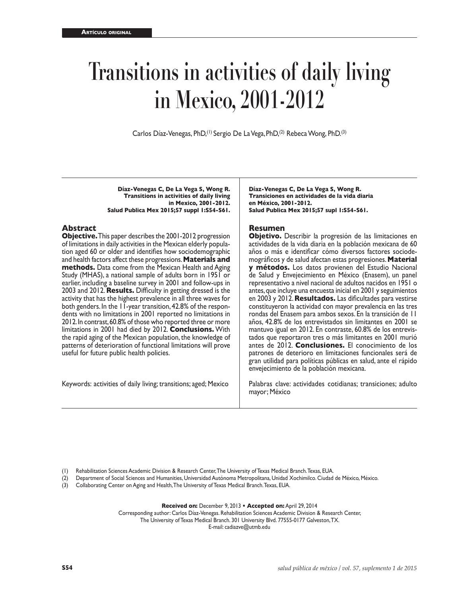# **Transitions in activities of daily living in Mexico, 2001-2012**

Carlos Díaz-Venegas, PhD,<sup>(1)</sup> Sergio De La Vega, PhD,<sup>(2)</sup> Rebeca Wong, PhD.<sup>(3)</sup>

**Díaz-Venegas C, De La Vega S, Wong R. Transitions in activities of daily living in Mexico, 2001-2012. Salud Publica Mex 2015;57 suppl 1:S54-S61.**

### **Abstract**

**Objective.** This paper describes the 2001-2012 progression of limitations in daily activities in the Mexican elderly population aged 60 or older and identifies how sociodemographic and health factors affect these progressions. **Materials and methods.** Data come from the Mexican Health and Aging Study (MHAS), a national sample of adults born in 1951 or earlier, including a baseline survey in 2001 and follow-ups in 2003 and 2012. **Results.** Difficulty in getting dressed is the activity that has the highest prevalence in all three waves for both genders. In the 11-year transition, 42.8% of the respondents with no limitations in 2001 reported no limitations in 2012. In contrast, 60.8% of those who reported three or more limitations in 2001 had died by 2012. **Conclusions.** With the rapid aging of the Mexican population, the knowledge of patterns of deterioration of functional limitations will prove useful for future public health policies.

Keywords: activities of daily living; transitions; aged; Mexico

**Díaz-Venegas C, De La Vega S, Wong R. Transiciones en actividades de la vida diaria en México, 2001-2012. Salud Publica Mex 2015;57 supl 1:S54-S61.**

### **Resumen**

**Objetivo.** Describir la progresión de las limitaciones en actividades de la vida diaria en la población mexicana de 60 años o más e identificar cómo diversos factores sociodemográficos y de salud afectan estas progresiones. **Material y métodos.** Los datos provienen del Estudio Nacional de Salud y Envejecimiento en México (Enasem), un panel representativo a nivel nacional de adultos nacidos en 1951 o antes, que incluye una encuesta inicial en 2001 y seguimientos en 2003 y 2012. **Resultados.** Las dificultades para vestirse constituyeron la actividad con mayor prevalencia en las tres rondas del Enasem para ambos sexos. En la transición de 11 años, 42.8% de los entrevistados sin limitantes en 2001 se mantuvo igual en 2012. En contraste, 60.8% de los entrevistados que reportaron tres o más limitantes en 2001 murió antes de 2012. **Conclusiones.** El conocimiento de los patrones de deterioro en limitaciones funcionales será de gran utilidad para políticas públicas en salud, ante el rápido envejecimiento de la población mexicana.

Palabras clave: actividades cotidianas; transiciones; adulto mayor; México

(1) Rehabilitation Sciences Academic Division & Research Center, The University of Texas Medical Branch. Texas, EUA.

(2) Department of Social Sciences and Humanities, Universidad Autónoma Metropolitana, Unidad Xochimilco. Ciudad de México, México.

(3) Collaborating Center on Aging and Health, The University of Texas Medical Branch. Texas, EUA.

**Received on:** December 9, 2013 **• Accepted on:** April 29, 2014

Corresponding author: Carlos Díaz-Venegas. Rehabilitation Sciences Academic Division & Research Center, The University of Texas Medical Branch. 301 University Blvd. 77555-0177 Galveston, TX.

E-mail: cadiazve@utmb.edu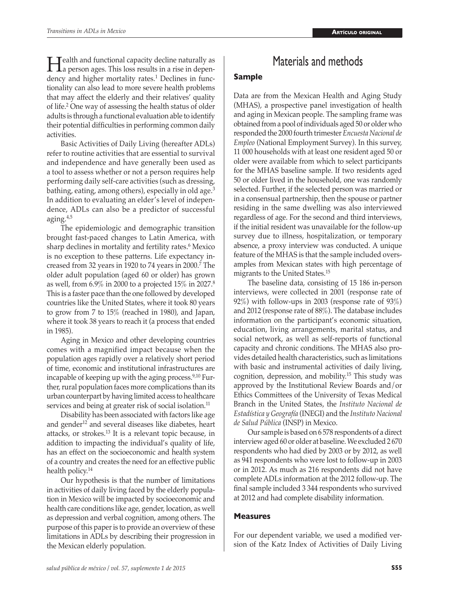**Health and functional capacity decline naturally as**<br>a person ages. This loss results in a rise in dependency and higher mortality rates.<sup>1</sup> Declines in functionality can also lead to more severe health problems that may affect the elderly and their relatives' quality of life.<sup>2</sup> One way of assessing the health status of older adults is through a functional evaluation able to identify their potential difficulties in performing common daily activities.

Basic Activities of Daily Living (hereafter ADLs) refer to routine activities that are essential to survival and independence and have generally been used as a tool to assess whether or not a person requires help performing daily self-care activities (such as dressing, bathing, eating, among others), especially in old age.<sup>3</sup> In addition to evaluating an elder's level of independence, ADLs can also be a predictor of successful aging. $4,5$ 

The epidemiologic and demographic transition brought fast-paced changes to Latin America, with sharp declines in mortality and fertility rates.<sup>6</sup> Mexico is no exception to these patterns. Life expectancy increased from 32 years in 1920 to 74 years in 2000.<sup>7</sup> The older adult population (aged 60 or older) has grown as well, from 6.9% in 2000 to a projected 15% in 2027.<sup>8</sup> This is a faster pace than the one followed by developed countries like the United States, where it took 80 years to grow from 7 to 15% (reached in 1980), and Japan, where it took 38 years to reach it (a process that ended in 1985).

Aging in Mexico and other developing countries comes with a magnified impact because when the population ages rapidly over a relatively short period of time, economic and institutional infrastructures are incapable of keeping up with the aging process.<sup>9,10</sup> Further, rural population faces more complications than its urban counterpart by having limited access to healthcare services and being at greater risk of social isolation.<sup>11</sup>

Disability has been associated with factors like age and gender<sup>12</sup> and several diseases like diabetes, heart attacks, or strokes.13 It is a relevant topic because, in addition to impacting the individual's quality of life, has an effect on the socioeconomic and health system of a country and creates the need for an effective public health policy.<sup>14</sup>

Our hypothesis is that the number of limitations in activities of daily living faced by the elderly population in Mexico will be impacted by socioeconomic and health care conditions like age, gender, location, as well as depression and verbal cognition, among others. The purpose of this paper is to provide an overview of these limitations in ADLs by describing their progression in the Mexican elderly population.

# Materials and methods

### **Sample**

Data are from the Mexican Health and Aging Study (MHAS), a prospective panel investigation of health and aging in Mexican people. The sampling frame was obtained from a pool of individuals aged 50 or older who responded the 2000 fourth trimester *Encuesta Nacional de Empleo* (National Employment Survey). In this survey, 11 000 households with at least one resident aged 50 or older were available from which to select participants for the MHAS baseline sample. If two residents aged 50 or older lived in the household, one was randomly selected. Further, if the selected person was married or in a consensual partnership, then the spouse or partner residing in the same dwelling was also interviewed regardless of age. For the second and third interviews, if the initial resident was unavailable for the follow-up survey due to illness, hospitalization, or temporary absence, a proxy interview was conducted. A unique feature of the MHAS is that the sample included oversamples from Mexican states with high percentage of migrants to the United States.<sup>15</sup>

The baseline data, consisting of 15 186 in-person interviews, were collected in 2001 (response rate of 92%) with follow-ups in 2003 (response rate of 93%) and 2012 (response rate of 88%). The database includes information on the participant's economic situation, education, living arrangements, marital status, and social network, as well as self-reports of functional capacity and chronic conditions. The MHAS also provides detailed health characteristics, such as limitations with basic and instrumental activities of daily living, cognition, depression, and mobility.15 This study was approved by the Institutional Review Boards and/or Ethics Committees of the University of Texas Medical Branch in the United States, the *Instituto Nacional de Estadística y Geografía* (INEGI) and the *Instituto Nacional de Salud Pública* (INSP) in Mexico.

Our sample is based on 6 578 respondents of a direct interview aged 60 or older at baseline. We excluded 2 670 respondents who had died by 2003 or by 2012, as well as 941 respondents who were lost to follow-up in 2003 or in 2012. As much as 216 respondents did not have complete ADLs information at the 2012 follow-up. The final sample included 3 344 respondents who survived at 2012 and had complete disability information.

### **Measures**

For our dependent variable, we used a modified version of the Katz Index of Activities of Daily Living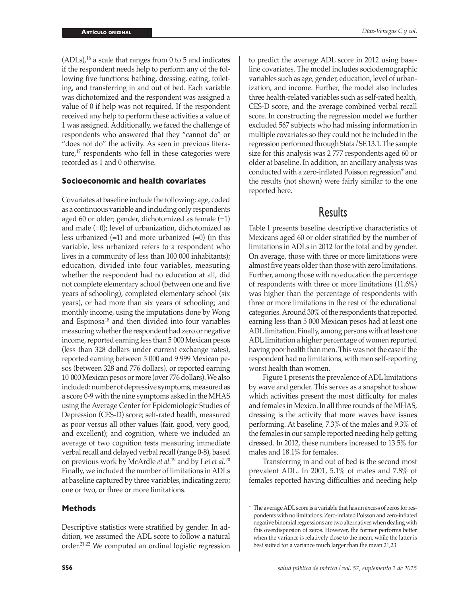$(ADLs)<sup>16</sup>$  a scale that ranges from 0 to 5 and indicates if the respondent needs help to perform any of the following five functions: bathing, dressing, eating, toileting, and transferring in and out of bed. Each variable was dichotomized and the respondent was assigned a value of 0 if help was not required. If the respondent received any help to perform these activities a value of 1 was assigned. Additionally, we faced the challenge of respondents who answered that they "cannot do" or "does not do" the activity. As seen in previous literature,17 respondents who fell in these categories were recorded as 1 and 0 otherwise.

### **Socioeconomic and health covariates**

Covariates at baseline include the following: age, coded as a continuous variable and including only respondents aged 60 or older; gender, dichotomized as female  $(=1)$ and male (=0); level of urbanization, dichotomized as less urbanized  $(=1)$  and more urbanized  $(=0)$  (in this variable, less urbanized refers to a respondent who lives in a community of less than 100 000 inhabitants); education, divided into four variables, measuring whether the respondent had no education at all, did not complete elementary school (between one and five years of schooling), completed elementary school (six years), or had more than six years of schooling; and monthly income, using the imputations done by Wong and Espinosa18 and then divided into four variables measuring whether the respondent had zero or negative income, reported earning less than 5 000 Mexican pesos (less than 328 dollars under current exchange rates), reported earning between 5 000 and 9 999 Mexican pesos (between 328 and 776 dollars), or reported earning 10 000 Mexican pesos or more (over 776 dollars). We also included: number of depressive symptoms, measured as a score 0-9 with the nine symptoms asked in the MHAS using the Average Center for Epidemiologic Studies of Depression (CES-D) score; self-rated health, measured as poor versus all other values (fair, good, very good, and excellent); and cognition, where we included an average of two cognition tests measuring immediate verbal recall and delayed verbal recall (range 0-8), based on previous work by McArdle *et al.*19 and by Lei *et al*. 20 Finally, we included the number of limitations in ADLs at baseline captured by three variables, indicating zero; one or two, or three or more limitations.

### **Methods**

Descriptive statistics were stratified by gender. In addition, we assumed the ADL score to follow a natural order.21,22 We computed an ordinal logistic regression *Díaz-Venegas C y col.*

line covariates. The model includes sociodemographic variables such as age, gender, education, level of urbanization, and income. Further, the model also includes three health-related variables such as self-rated health, CES-D score, and the average combined verbal recall score. In constructing the regression model we further excluded 567 subjects who had missing information in multiple covariates so they could not be included in the regression performed through Stata/SE 13.1. The sample size for this analysis was 2 777 respondents aged 60 or older at baseline. In addition, an ancillary analysis was conducted with a zero-inflated Poisson regression\* and the results (not shown) were fairly similar to the one reported here.

## **Results**

Table I presents baseline descriptive characteristics of Mexicans aged 60 or older stratified by the number of limitations in ADLs in 2012 for the total and by gender. On average, those with three or more limitations were almost five years older than those with zero limitations. Further, among those with no education the percentage of respondents with three or more limitations (11.6%) was higher than the percentage of respondents with three or more limitations in the rest of the educational categories. Around 30% of the respondents that reported earning less than 5 000 Mexican pesos had at least one ADL limitation. Finally, among persons with at least one ADL limitation a higher percentage of women reported having poor health than men. This was not the case if the respondent had no limitations, with men self-reporting worst health than women.

Figure 1 presents the prevalence of ADL limitations by wave and gender. This serves as a snapshot to show which activities present the most difficulty for males and females in Mexico. In all three rounds of the MHAS, dressing is the activity that more waves have issues performing. At baseline, 7.3% of the males and 9.3% of the females in our sample reported needing help getting dressed. In 2012, these numbers increased to 13.5% for males and 18.1% for females.

Transferring in and out of bed is the second most prevalent ADL. In 2001, 5.1% of males and 7.8% of females reported having difficulties and needing help

<sup>\*</sup> The average ADL score is a variable that has an excess of zeros for respondents with no limitations. Zero-inflated Poisson and zero-inflated negative binomial regressions are two alternatives when dealing with this overdispersion of zeros. However, the former performs better when the variance is relatively close to the mean, while the latter is best suited for a variance much larger than the mean.21,23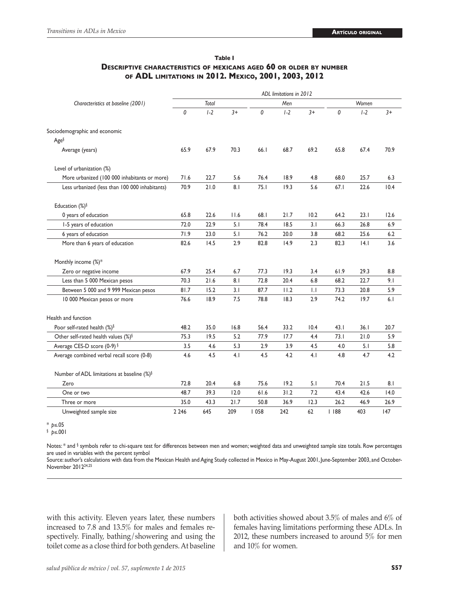|                                                | ADL limitations in 2012 |       |      |      |       |              |       |       |      |
|------------------------------------------------|-------------------------|-------|------|------|-------|--------------|-------|-------|------|
| Characteristics at baseline (2001)             | Total                   |       |      | Men  |       |              | Women |       |      |
|                                                | 0                       | $1-2$ | $3+$ | 0    | $1-2$ | $3+$         | 0     | $1-2$ | $3+$ |
| Sociodemographic and economic                  |                         |       |      |      |       |              |       |       |      |
| Age <sup>§</sup>                               |                         |       |      |      |       |              |       |       |      |
| Average (years)                                | 65.9                    | 67.9  | 70.3 | 66.I | 68.7  | 69.2         | 65.8  | 67.4  | 70.9 |
| Level of urbanization (%)                      |                         |       |      |      |       |              |       |       |      |
| More urbanized (100 000 inhabitants or more)   | 71.6                    | 22.7  | 5.6  | 76.4 | 18.9  | 4.8          | 68.0  | 25.7  | 6.3  |
| Less urbanized (less than 100 000 inhabitants) | 70.9                    | 21.0  | 8.1  | 75.1 | 19.3  | 5.6          | 67.1  | 22.6  | 10.4 |
| Education $(\%)^{\S}$                          |                         |       |      |      |       |              |       |       |      |
| 0 years of education                           | 65.8                    | 22.6  | 11.6 | 68.I | 21.7  | 10.2         | 64.2  | 23.1  | 12.6 |
| 1-5 years of education                         | 72.0                    | 22.9  | 5.1  | 78.4 | 18.5  | 3.1          | 66.3  | 26.8  | 6.9  |
| 6 years of education                           | 71.9                    | 23.0  | 5.1  | 76.2 | 20.0  | 3.8          | 68.2  | 25.6  | 6.2  |
| More than 6 years of education                 | 82.6                    | 14.5  | 2.9  | 82.8 | 14.9  | 2.3          | 82.3  | 4.1   | 3.6  |
| Monthly income (%)*                            |                         |       |      |      |       |              |       |       |      |
| Zero or negative income                        | 67.9                    | 25.4  | 6.7  | 77.3 | 19.3  | 3.4          | 61.9  | 29.3  | 8.8  |
| Less than 5 000 Mexican pesos                  | 70.3                    | 21.6  | 8.1  | 72.8 | 20.4  | 6.8          | 68.2  | 22.7  | 9.1  |
| Between 5 000 and 9 999 Mexican pesos          | 81.7                    | 15.2  | 3.1  | 87.7 | 11.2  | $\mathsf{L}$ | 73.3  | 20.8  | 5.9  |
| 10 000 Mexican pesos or more                   | 76.6                    | 18.9  | 7.5  | 78.8 | 18.3  | 2.9          | 74.2  | 19.7  | 6.1  |
| Health and function                            |                         |       |      |      |       |              |       |       |      |
| Poor self-rated health (%)§                    | 48.2                    | 35.0  | 16.8 | 56.4 | 33.2  | 10.4         | 43.1  | 36.1  | 20.7 |
| Other self-rated health values (%)§            | 75.3                    | 19.5  | 5.2  | 77.9 | 17.7  | 4.4          | 73.1  | 21.0  | 5.9  |
| Average CES-D score (0-9) §                    | 3.5                     | 4.6   | 5.3  | 2.9  | 3.9   | 4.5          | 4.0   | 5.1   | 5.8  |
| Average combined verbal recall score (0-8)     | 4.6                     | 4.5   | 4.1  | 4.5  | 4.2   | 4.1          | 4.8   | 4.7   | 4.2  |
| Number of ADL limitations at baseline (%)§     |                         |       |      |      |       |              |       |       |      |
| Zero                                           | 72.8                    | 20.4  | 6.8  | 75.6 | 19.2  | 5.1          | 70.4  | 21.5  | 8.1  |
| One or two                                     | 48.7                    | 39.3  | 12.0 | 61.6 | 31.2  | 7.2          | 43.4  | 42.6  | 14.0 |
| Three or more                                  | 35.0                    | 43.3  | 21.7 | 50.8 | 36.9  | 12.3         | 26.2  | 46.9  | 26.9 |
| Unweighted sample size                         | 2 2 4 6                 | 645   | 209  | 1058 | 242   | 62           | 188   | 403   | 147  |

### **Table I Descriptive characteristics of mexicans aged 60 or older by number of ADL limitations in 2012. Mexico, 2001, 2003, 2012**

\* *p*≤.05 § *p*≤.001

Notes: \* and § symbols refer to chi-square test for differences between men and women; weighted data and unweighted sample size totals. Row percentages are used in variables with the percent symbol

Source: author's calculations with data from the Mexican Health and Aging Study collected in Mexico in May-August 2001, June-September 2003, and October-November 201224,25

with this activity. Eleven years later, these numbers increased to 7.8 and 13.5% for males and females respectively. Finally, bathing/showering and using the toilet come as a close third for both genders. At baseline both activities showed about 3.5% of males and 6% of females having limitations performing these ADLs. In 2012, these numbers increased to around 5% for men and 10% for women.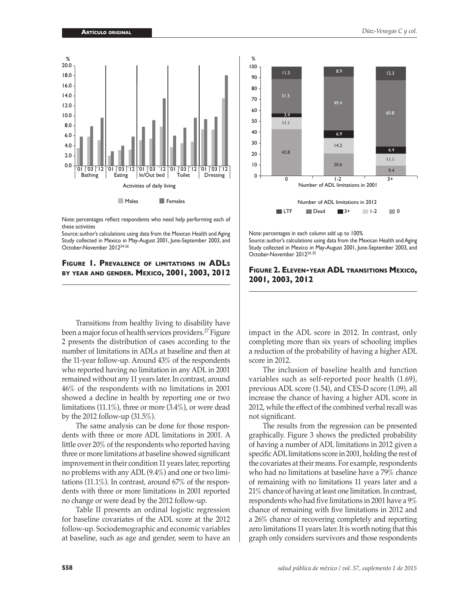

Note: percentages reflect respondents who need help performing each of these activities

Source: author's calculations using data from the Mexican Health and Aging Study collected in Mexico in May-August 2001, June-September 2003, and October-November 201224-26

### **Figure 1. Prevalence of limitations in ADLs by year and gender. Mexico, 2001, 2003, 2012**

Transitions from healthy living to disability have been a major focus of health services providers.27 Figure 2 presents the distribution of cases according to the number of limitations in ADLs at baseline and then at the 11-year follow-up. Around 43% of the respondents who reported having no limitation in any ADL in 2001 remained without any 11 years later. In contrast, around 46% of the respondents with no limitations in 2001 showed a decline in health by reporting one or two limitations (11.1%), three or more (3.4%), or were dead by the 2012 follow-up (31.5%).

The same analysis can be done for those respondents with three or more ADL limitations in 2001. A little over 20% of the respondents who reported having three or more limitations at baseline showed significant improvement in their condition 11 years later, reporting no problems with any ADL (9.4%) and one or two limitations (11.1%). In contrast, around 67% of the respondents with three or more limitations in 2001 reported no change or were dead by the 2012 follow-up.

Table II presents an ordinal logistic regression for baseline covariates of the ADL score at the 2012 follow-up. Sociodemographic and economic variables at baseline, such as age and gender, seem to have an



Note: percentages in each column add up to 100% Source: author's calculations using data from the Mexican Health and Aging

Study collected in Mexico in May-August 2001, June-September 2003, and October-November 201224, 25

#### **Figure 2. Eleven-year ADL transitions Mexico, 2001, 2003, 2012**

impact in the ADL score in 2012. In contrast, only completing more than six years of schooling implies a reduction of the probability of having a higher ADL score in 2012.

The inclusion of baseline health and function variables such as self-reported poor health (1.69), previous ADL score (1.54), and CES-D score (1.09), all increase the chance of having a higher ADL score in 2012, while the effect of the combined verbal recall was not significant.

The results from the regression can be presented graphically. Figure 3 shows the predicted probability of having a number of ADL limitations in 2012 given a specific ADL limitations score in 2001, holding the rest of the covariates at their means. For example, respondents who had no limitations at baseline have a 79% chance of remaining with no limitations 11 years later and a 21% chance of having at least one limitation. In contrast, respondents who had five limitations in 2001 have a 9% chance of remaining with five limitations in 2012 and a 26% chance of recovering completely and reporting zero limitations 11 years later. It is worth noting that this graph only considers survivors and those respondents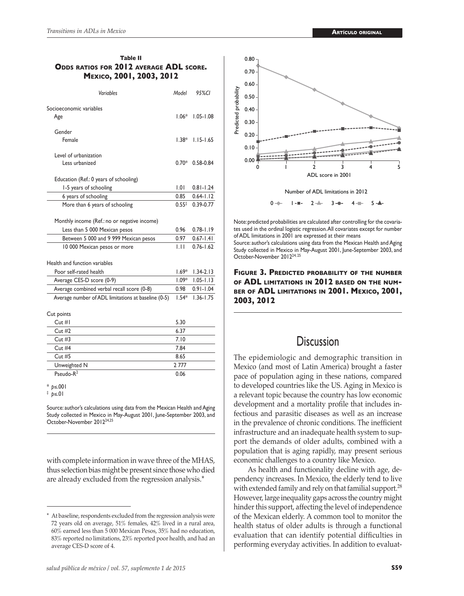J.

### **Table II Odds ratios for 2012 average ADL score. Mexico, 2001, 2003, 2012**

| Variables                                           |                   | 95%CI         |
|-----------------------------------------------------|-------------------|---------------|
| Socioeconomic variables<br>Age                      |                   | $1.05 - 1.08$ |
| Gender                                              |                   |               |
| Female                                              | $1.38*$           | $1.15 - 1.65$ |
| Level of urbanization                               |                   |               |
| Less urbanized                                      |                   | $0.58 - 0.84$ |
| Education (Ref.: 0 years of schooling)              |                   |               |
| 1-5 years of schooling                              | 1.01              | $0.81 - 1.24$ |
| 6 years of schooling                                | 0.85              | $0.64 - 1.12$ |
| More than 6 years of schooling                      | $0.55^{\ddagger}$ | $0.39 - 0.77$ |
| Monthly income (Ref.: no or negative income)        |                   |               |
| Less than 5 000 Mexican pesos                       |                   | $0.78 - 1.19$ |
| Between 5 000 and 9 999 Mexican pesos               |                   | $0.67 - 1.41$ |
| 10 000 Mexican pesos or more                        | 0.97<br>ЫT        | $0.76 - 1.62$ |
|                                                     |                   |               |
| Health and function variables                       | $1.69*$           |               |
| Poor self-rated health                              |                   | $1.34 - 2.13$ |
| Average CES-D score (0-9)                           | $1.09*$           | $1.05 - 1.13$ |
| Average combined verbal recall score (0-8)          | 0.98              | $0.91 - 1.04$ |
| Average number of ADL limitations at baseline (0-5) | $1.54*$           | $1.36 - 1.75$ |
| Cut points                                          |                   |               |
| Cut #I                                              | 5.30              |               |
| Cut#2                                               | 6.37              |               |
| Cut#3                                               | 7.10              |               |
| Cut#4                                               | 7.84              |               |
| Cut #5                                              | 8.65              |               |
| Unweighted N                                        | 2777              |               |
| Pseudo-R <sup>2</sup>                               | 0.06              |               |
|                                                     |                   |               |

\* *p*≤.001

‡ *p*≤.01

Source: author's calculations using data from the Mexican Health and Aging Study collected in Mexico in May-August 2001, June-September 2003, and October-November 201224,25

with complete information in wave three of the MHAS, thus selection bias might be present since those who died are already excluded from the regression analysis.\*



October-November 201224, 25

0.00 0.10 0.20 0.30 0.40 0.50 0.60 0.70 0.80

Predicted probability

Predicted probability

pace of population aging in these nations, compared to developed countries like the US. Aging in Mexico is a relevant topic because the country has low economic development and a mortality profile that includes infectious and parasitic diseases as well as an increase in the prevalence of chronic conditions. The inefficient infrastructure and an inadequate health system to support the demands of older adults, combined with a population that is aging rapidly, may present serious economic challenges to a country like Mexico.

Note: predicted probabilities are calculated after controlling for the covariates used in the ordinal logistic regression. All covariates except for number

 Number of ADL limitations in 2012 0 <del>1</del> 1 <del>- 1</del> - 2 <del>- 3</del> - 0 - 4 - 5

0 1 2 3 4 5

ADL score in 2001

Source: author's calculations using data from the Mexican Health and Aging Study collected in Mexico in May-August 2001, June-September 2003, and

of ADL limitations in 2001 are expressed at their means

As health and functionality decline with age, dependency increases. In Mexico, the elderly tend to live with extended family and rely on that familial support.<sup>28</sup> However, large inequality gaps across the country might hinder this support, affecting the level of independence of the Mexican elderly. A common tool to monitor the health status of older adults is through a functional evaluation that can identify potential difficulties in performing everyday activities. In addition to evaluat-

At baseline, respondents excluded from the regression analysis were 72 years old on average, 51% females, 42% lived in a rural area, 60% earned less than 5 000 Mexican Pesos, 35% had no education, 83% reported no limitations, 23% reported poor health, and had an average CES-D score of 4.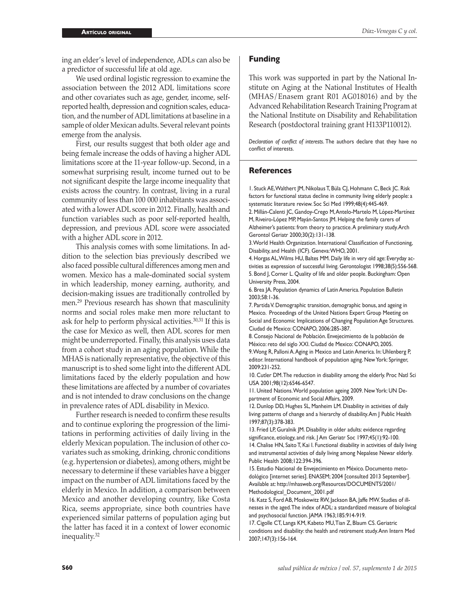ing an elder's level of independence, ADLs can also be a predictor of successful life at old age.

We used ordinal logistic regression to examine the association between the 2012 ADL limitations score and other covariates such as age, gender, income, selfreported health, depression and cognition scales, education, and the number of ADL limitations at baseline in a sample of older Mexican adults. Several relevant points emerge from the analysis.

First, our results suggest that both older age and being female increase the odds of having a higher ADL limitations score at the 11-year follow-up. Second, in a somewhat surprising result, income turned out to be not significant despite the large income inequality that exists across the country. In contrast, living in a rural community of less than 100 000 inhabitants was associated with a lower ADL score in 2012. Finally, health and function variables such as poor self-reported health, depression, and previous ADL score were associated with a higher ADL score in 2012.

This analysis comes with some limitations. In addition to the selection bias previously described we also faced possible cultural differences among men and women. Mexico has a male-dominated social system in which leadership, money earning, authority, and decision-making issues are traditionally controlled by men.29 Previous research has shown that masculinity norms and social roles make men more reluctant to ask for help to perform physical activities.30,31 If this is the case for Mexico as well, then ADL scores for men might be underreported. Finally, this analysis uses data from a cohort study in an aging population. While the MHAS is nationally representative, the objective of this manuscript is to shed some light into the different ADL limitations faced by the elderly population and how these limitations are affected by a number of covariates and is not intended to draw conclusions on the change in prevalence rates of ADL disability in Mexico.

Further research is needed to confirm these results and to continue exploring the progression of the limitations in performing activities of daily living in the elderly Mexican population. The inclusion of other covariates such as smoking, drinking, chronic conditions (e.g. hypertension or diabetes), among others, might be necessary to determine if these variables have a bigger impact on the number of ADL limitations faced by the elderly in Mexico. In addition, a comparison between Mexico and another developing country, like Costa Rica, seems appropriate, since both countries have experienced similar patterns of population aging but the latter has faced it in a context of lower economic inequality.<sup>32</sup>

### **Funding**

This work was supported in part by the National Institute on Aging at the National Institutes of Health (MHAS/Enasem grant R01 AG018016) and by the Advanced Rehabilitation Research Training Program at the National Institute on Disability and Rehabilitation Research (postdoctoral training grant H133P110012).

*Declaration of conflict of interests*. The authors declare that they have no conflict of interests.

#### **References**

1. Stuck AE, Walthert JM, Nikolaus T, Büla CJ, Hohmann C, Beck JC. Risk factors for functional status decline in community living elderly people: a systematic literature review. Soc Sci Med 1999;48(4):445-469.

2. Millán-Calenti JC, Gandoy-Crego M, Antelo-Martelo M, López-Martínez M, Riveiro-López MP, Mayán-Santos JM. Helping the family carers of Alzheimer's patients: from theory to practice. A preliminary study. Arch Gerontol Geriatr 2000;30(2):131-138.

3. World Health Organization. International Classification of Functioning, Disability, and Health (ICF). Geneva: WHO, 2001.

4. Horgas AL, Wilms HU, Baltes MM. Daily life in very old age: Everyday activities as expression of successful living. Gerontologist 1998;38(5):556-568. 5. Bond J, Corner L. Quality of life and older people. Buckingham: Open University Press, 2004.

6. Brea JA. Population dynamics of Latin America. Population Bulletin 2003;58:1-36.

7. Partida V. Demographic transition, demographic bonus, and ageing in Mexico. Proceedings of the United Nations Expert Group Meeting on Social and Economic Implications of Changing Population Age Structures. Ciudad de Mexico: CONAPO, 2006:285-387.

8. Consejo Nacional de Población. Envejecimiento de la población de México: reto del siglo XXI. Ciudad de Mexico: CONAPO, 2005.

9. Wong R, Palloni A. Aging in Mexico and Latin America. In: Uhlenberg P, editor. International handbook of population aging. New York: Springer, 2009:231-252.

10. Cutler DM. The reduction in disability among the elderly. Proc Natl Sci USA 2001;98(12):6546-6547.

11. United Nations. World population ageing 2009. New York: UN Department of Economic and Social Affairs, 2009.

12. Dunlop DD, Hughes SL, Manheim LM. Disability in activities of daily living: patterns of change and a hierarchy of disability. Am J Public Health 1997;87(3):378-383.

13. Fried LP, Guralnik JM. Disability in older adults: evidence regarding significance, etiology, and risk. J Am Geriatr Soc 1997;45(1):92-100. 14. Chalise HN, Saito T, Kai I. Functional disability in activities of daily living

and instrumental activities of daily living among Nepalese Newar elderly. Public Health 2008;122:394-396.

15. Estudio Nacional de Envejecimiento en México. Documento metodológico [internet series]. ENASEM; 2004 [consulted 2013 September]. Available at: http://mhasweb.org/Resources/DOCUMENTS/2001/ Methodological\_Document\_2001.pdf

16. Katz S, Ford AB, Moskowitz RW, Jackson BA, Jaffe MW. Studies of illnesses in the aged. The index of ADL: a standardized measure of biological and psychosocial function. JAMA 1963;185:914-919.

17. Cigolle CT, Langa KM, Kabeto MU, Tian Z, Blaum CS. Geriatric conditions and disability: the health and retirement study. Ann Intern Med 2007;147(3):156-164.